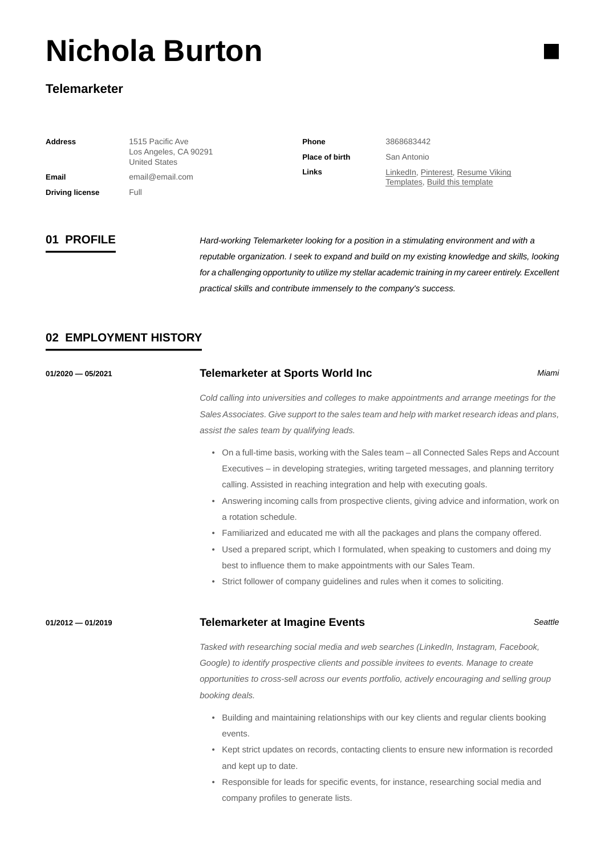# **Nichola Burton**

### **Telemarketer**

| <b>Address</b>         | 1515 Pacific Ave<br>Los Angeles, CA 90291 | <b>Phone</b>          | 3868683442                                                           |
|------------------------|-------------------------------------------|-----------------------|----------------------------------------------------------------------|
|                        | <b>United States</b>                      | <b>Place of birth</b> | San Antonio                                                          |
| Email                  | email@email.com                           | Links                 | LinkedIn, Pinterest, Resume Viking<br>Templates, Build this template |
| <b>Driving license</b> | Full                                      |                       |                                                                      |

**01 PROFILE** *Hard-working Telemarketer looking for a position in a stimulating environment and with a reputable organization. I seek to expand and build on my existing knowledge and skills, looking for a challenging opportunity to utilize my stellar academic training in my career entirely. Excellent practical skills and contribute immensely to the company's success.*

### **02 EMPLOYMENT HISTORY**

| 01/2020 - 05/2021 | <b>Telemarketer at Sports World Inc</b>                                                         | Miami |
|-------------------|-------------------------------------------------------------------------------------------------|-------|
|                   | Cold calling into universities and colleges to make appointments and arrange meetings for the   |       |
|                   | Sales Associates. Give support to the sales team and help with market research ideas and plans, |       |
|                   | assist the sales team by qualifying leads.                                                      |       |
|                   | • On a full-time basis, working with the Sales team – all Connected Sales Reps and Account      |       |
|                   | Executives – in developing strategies, writing targeted messages, and planning territory        |       |
|                   | calling. Assisted in reaching integration and help with executing goals.                        |       |
|                   | • Answering incoming calls from prospective clients, giving advice and information, work on     |       |
|                   | a rotation schedule.                                                                            |       |
|                   | • Familiarized and educated me with all the packages and plans the company offered.             |       |

- Used a prepared script, which I formulated, when speaking to customers and doing my best to influence them to make appointments with our Sales Team.
- Strict follower of company guidelines and rules when it comes to soliciting.

### **01/2012 — 01/2019 Telemarketer at Imagine Events** *Seattle*

*Tasked with researching social media and web searches (LinkedIn, Instagram, Facebook, Google) to identify prospective clients and possible invitees to events. Manage to create opportunities to cross-sell across our events portfolio, actively encouraging and selling group booking deals.*

- Building and maintaining relationships with our key clients and regular clients booking events.
- Kept strict updates on records, contacting clients to ensure new information is recorded and kept up to date.
- Responsible for leads for specific events, for instance, researching social media and company profiles to generate lists.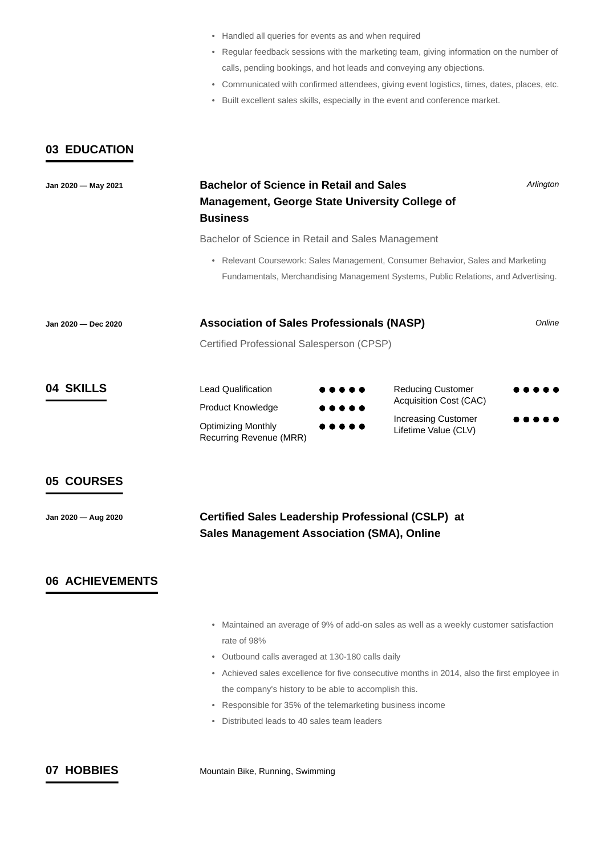- Handled all queries for events as and when required
- Regular feedback sessions with the marketing team, giving information on the number of calls, pending bookings, and hot leads and conveying any objections.
- Communicated with confirmed attendees, giving event logistics, times, dates, places, etc.
- Built excellent sales skills, especially in the event and conference market.

### **03 EDUCATION**

# **Jan 2020 — May 2021 Bachelor of Science in Retail and Sales**  *Arlington* **Management, George State University College of Business** Bachelor of Science in Retail and Sales Management • Relevant Coursework: Sales Management, Consumer Behavior, Sales and Marketing Fundamentals, Merchandising Management Systems, Public Relations, and Advertising. **Jan 2020 — Dec 2020 Association of Sales Professionals (NASP)** *Online* Certified Professional Salesperson (CPSP) **04 SKILLS** Lead Qualification Reducing Customer Acquisition Cost (CAC) Product Knowledge Increasing Customer Optimizing Monthly  $\bullet\bullet\bullet\bullet$ Lifetime Value (CLV) Recurring Revenue (MRR) **05 COURSES Jan 2020 — Aug 2020 Certified Sales Leadership Professional (CSLP) at Sales Management Association (SMA), Online 06 ACHIEVEMENTS** • Maintained an average of 9% of add-on sales as well as a weekly customer satisfaction rate of 98% • Outbound calls averaged at 130-180 calls daily • Achieved sales excellence for five consecutive months in 2014, also the first employee in the company's history to be able to accomplish this. • Responsible for 35% of the telemarketing business income • Distributed leads to 40 sales team leaders

**07 HOBBIES** Mountain Bike, Running, Swimming